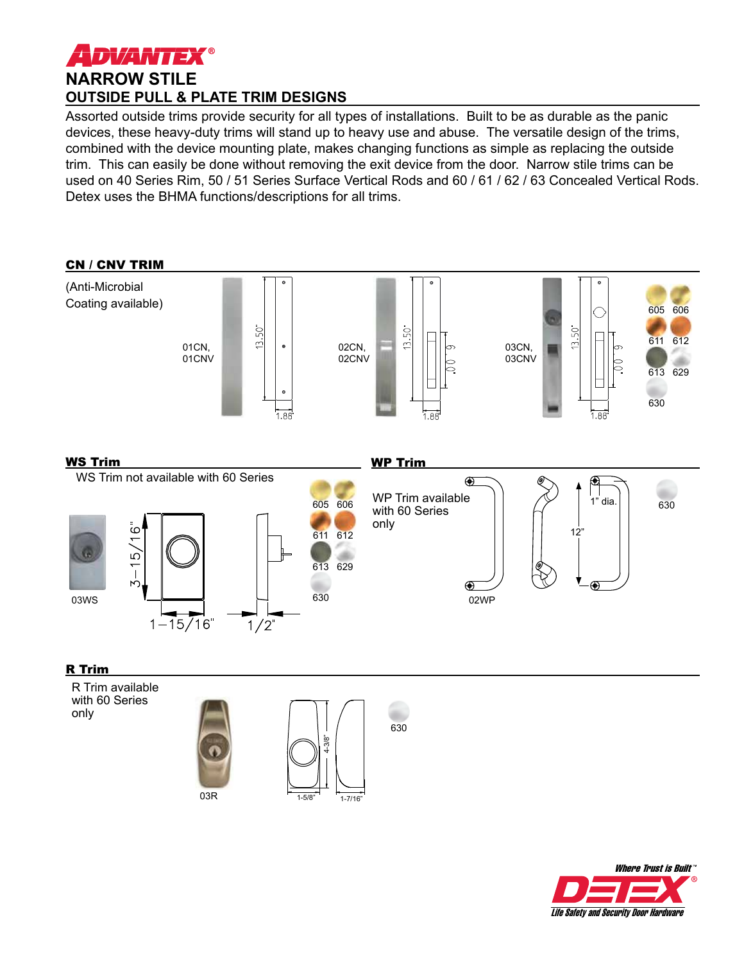

Assorted outside trims provide security for all types of installations. Built to be as durable as the panic devices, these heavy-duty trims will stand up to heavy use and abuse. The versatile design of the trims, combined with the device mounting plate, makes changing functions as simple as replacing the outside trim. This can easily be done without removing the exit device from the door. Narrow stile trims can be used on 40 Series Rim, 50 / 51 Series Surface Vertical Rods and 60 / 61 / 62 / 63 Concealed Vertical Rods. Detex uses the BHMA functions/descriptions for all trims.



## R Trim

R Trim available with 60 Series only





630